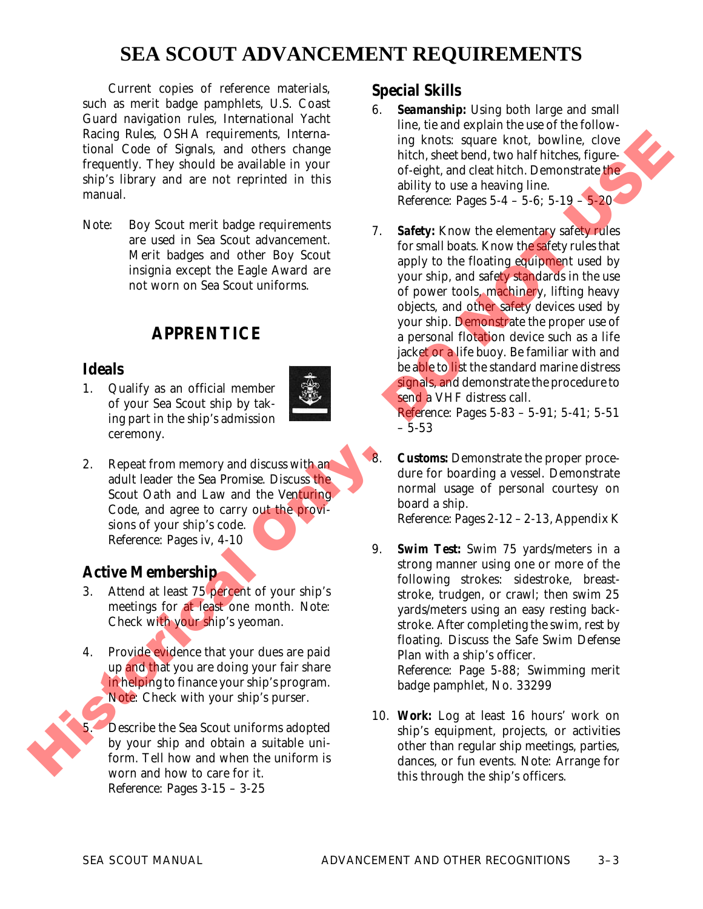# **SEA SCOUT ADVANCEMENT REQUIREMENTS**

Current copies of reference materials, such as merit badge pamphlets, U.S. Coast Guard navigation rules, *International Yacht Racing Rules*, OSHA requirements, *International Code of Signals*, and others change frequently. They should be available in your ship's library and are not reprinted in this manual.

*Note*: Boy Scout merit badge requirements are used in Sea Scout advancement. Merit badges and other Boy Scout insignia except the Eagle Award are not worn on Sea Scout uniforms.

## **APPRENTICE**

### **Ideals**

1. Qualify as an official member of your Sea Scout ship by taking part in the ship's admission ceremony.



2. Repeat from memory and discuss with an adult leader the *Sea Promise*. Discuss the *Scout Oath and Law* and the *Venturing Code*, and agree to carry out the provisions of your ship's code. *Reference:* Pages iv, 4-10

## **Active Membership**

- 3. Attend at least 75 percent of your ship's meetings for at least one month. *Note:* Check with your ship's yeoman.
- 4. Provide evidence that your dues are paid up and that you are doing your fair share in helping to finance yourship's program. *Note:* Check with your ship's purser. Active Membership<br>
3. Attend at least 75 percent of y<br>
meetings for at least one mon<br>
Check with your ship's yeomar<br>
4. Provide evidence that your due<br>
up and that you are doing your<br>
inhelping to finance your ship's<br>
Note

5. Describe the Sea Scout uniforms adopted by your ship and obtain a suitable uniform. Tell how and when the uniform is worn and how to care for it. *Reference:* Pages 3-15 – 3-25

## **Special Skills**

- **Seamanship:** Using both large and small line, tie and explain the use of the following knots: square knot, bowline, clove hitch, sheet bend, two half hitches, figureof-eight, and cleat hitch. Demonstrate the ability to use a heaving line. *Reference:* Pages 5-4 – 5-6; 5-19 – 5-20
- 7. *Safety:* Know the elementary safety rules for small boats. Know the safety rules that apply to the floating equipment used by your ship, and safety standards in the use of power tools, machinery, lifting heavy objects, and other safety devices used by your ship. Demonstrate the proper use of a personal flotation device such as a life jacket or a life buoy. Be familiar with and be able to list the standard marine distress signals, and demonstrate the procedure to send a VHF distress call. ments, *Interna*<br>
ones that, sheet bend, two half hitchs, figure<br>
validable in your<br>
of-eight, and clear hitch. Demonstrate the<br>
validable in your<br>
of-eight, and clear hitch. Demonstrate the<br>
reprinced in this<br> *Reference:*

*Reference:* Pages 5-83 – 5-91; 5-41; 5-51 – 5-53

*Customs:* Demonstrate the proper procedure for boarding a vessel. Demonstrate normal usage of personal courtesy on board a ship.

*Reference:* Pages 2-12 – 2-13, Appendix K

- 9. *Swim Test:* Swim 75 yards/meters in a strong manner using one or more of the following strokes: sidestroke, breaststroke, trudgen, or crawl; then swim 25 yards/meters using an easy resting backstroke. After completing the swim, rest by floating. Discuss the *Safe Swim Defense Plan* with a ship's officer. *Reference:* Page 5-88; *Swimming* merit badge pamphlet, No. 33299
- 10. *Work:* Log at least 16 hours' work on ship's equipment, projects, or activities other than regular ship meetings, parties, dances, or fun events. *Note:* Arrange for this through the ship's officers.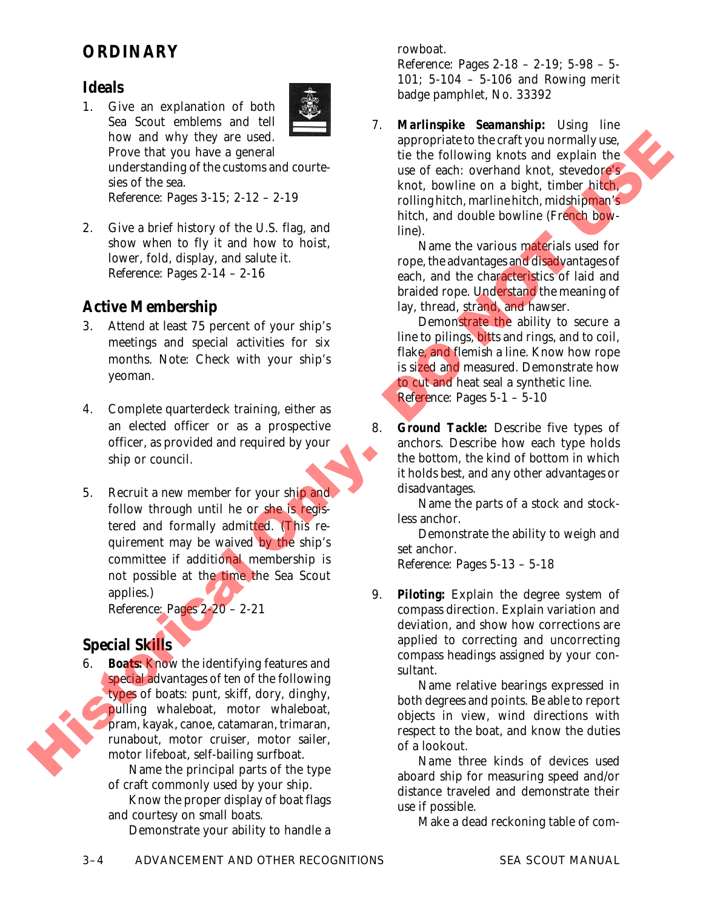# **ORDINARY**

#### **Ideals**

- 1. Give an explanation of both
	- Sea Scout emblems and tell how and why they are used. Prove that you have a general understanding of the customs and courtesies of the sea. *Reference:* Pages 3-15; 2-12 – 2-19
- 2. Give a brief history of the U.S. flag, and show when to fly it and how to hoist, lower, fold, display, and salute it. *Reference:* Pages 2-14 – 2-16

### **Active Membership**

- 3. Attend at least 75 percent of your ship's meetings and special activities for six months. *Note:* Check with your ship's yeoman.
- 4. Complete quarterdeck training, either as an elected officer or as a prospective officer, as provided and required by your ship or council.
- 5. Recruit a new member for your ship and follow through until he or she is registered and formally admitted. (This requirement may be waived by the ship's committee if additional membership is not possible at the time the Sea Scout applies.) how and why they use used.<br>
Free that you have a general<br>
metricustom and contribution and contribution and contribution and contribution of the sales of the sea.<br>
and of the sea a bit fluid that see the sea.<br>
Equality of

*Reference:* Pages 2-20 – 2-21

#### **Special Skills**

6. *Boats:* Know the identifying features and special advantages of ten of the following types of boats: punt, skiff, dory, dinghy, pulling whaleboat, motor whaleboat, pram, kayak, canoe, catamaran, trimaran, runabout, motor cruiser, motor sailer, motor lifeboat, self-bailing surfboat.

Name the principal parts of the type of craft commonly used by your ship.

Know the proper display of boat flags and courtesy on small boats.

Demonstrate your ability to handle a

rowboat.

*Reference:* Pages 2-18 – 2-19; 5-98 – 5- 101; 5-104 – 5-106 and *Rowing* merit badge pamphlet, No. 33392

7. *Marlinspike Seamanship:* Using line appropriate to the craft you normally use, tie the following knots and explain the use of each: overhand knot, stevedore's knot, bowline on a bight, timber hitch, rolling hitch, marline hitch, midshipman's hitch, and double bowline (French bowline).

Name the various materials used for rope, the advantages and disadvantages of each, and the characteristics of laid and braided rope. Understand the meaning of lay, thread, strand, and hawser.

Demonstrate the ability to secure a line to pilings, bitts and rings, and to coil, flake, and flemish a line. Know how rope is sized and measured. Demonstrate how to cut and heat seal a synthetic line. *Reference:* Pages 5-1 – 5-10

8. *Ground Tackle:* Describe five types of anchors. Describe how each type holds the bottom, the kind of bottom in which it holds best, and any other advantages or disadvantages.

Name the parts of a stock and stockless anchor.

Demonstrate the ability to weigh and set anchor.

*Reference:* Pages 5-13 – 5-18

9. *Piloting:* Explain the degree system of compass direction. Explain variation and deviation, and show how corrections are applied to correcting and uncorrecting compass headings assigned by your consultant.

Name relative bearings expressed in both degrees and points. Be able to report objects in view, wind directions with respect to the boat, and know the duties of a lookout.

Name three kinds of devices used aboard ship for measuring speed and/or distance traveled and demonstrate their use if possible.

Make a dead reckoning table of com-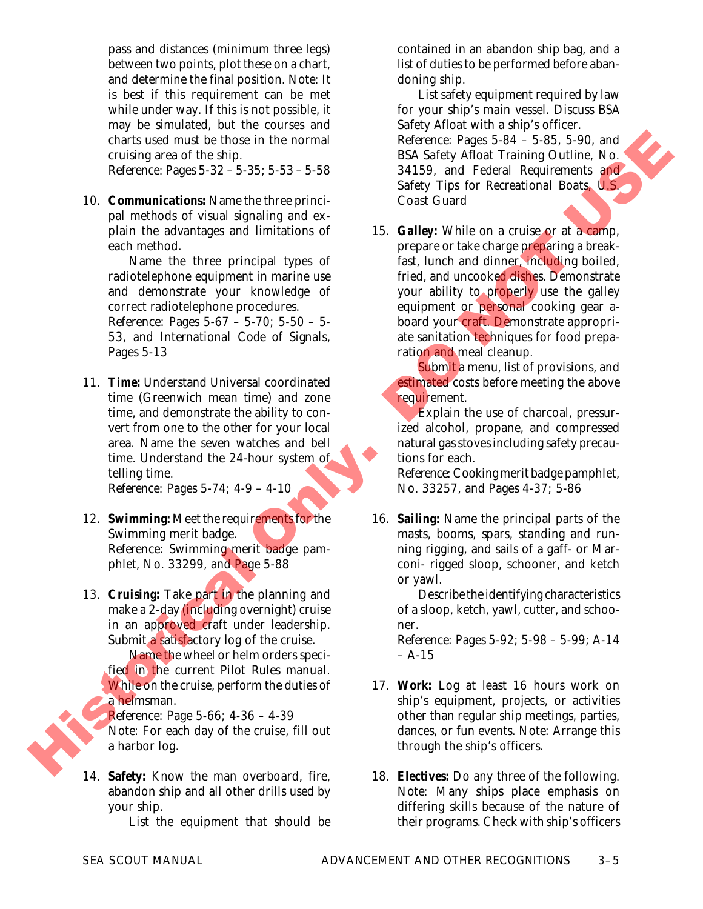pass and distances (minimum three legs) between two points, plot these on a chart, and determine the final position. *Note:* It is best if this requirement can be met while under way. If this is not possible, it may be simulated, but the courses and charts used must be those in the normal cruising area of the ship.

*Reference:* Pages 5-32 – 5-35; 5-53 – 5-58

10. *Communications:* Name the three principal methods of visual signaling and explain the advantages and limitations of each method.

Name the three principal types of radiotelephone equipment in marine use and demonstrate your knowledge of correct radiotelephone procedures.

*Reference:* Pages 5-67 – 5-70; 5-50 – 5- 53, and *International Code of Signals*, Pages 5-13

11. *Time:* Understand Universal coordinated time (Greenwich mean time) and zone time, and demonstrate the ability to convert from one to the other for your local area. Name the seven watches and bell time. Understand the 24-hour system of telling time.

*Reference:* Pages 5-74; 4-9 – 4-10

- 12. **Swimming:** Meet the requirements for the Swimming merit badge. *Reference: Swimming* merit badge pamphlet, No. 33299, and Page 5-88
- 13. *Cruising:* Take part in the planning and make a 2-day (including overnight) cruise in an approved craft under leadership. Submit a satisfactory log of the cruise.

Name the wheel or helm orders specified in the current *Pilot Rules* manual. While on the cruise, perform the duties of a helmsman.

*Reference:* Page 5-66; 4-36 – 4-39 *Note:* For each day of the cruise, fill out a harbor log.

14. *Safety:* Know the man overboard, fire, abandon ship and all other drills used by your ship.

List the equipment that should be

contained in an abandon ship bag, and a list of duties to be performed before abandoning ship.

List safety equipment required by law for your ship's main vessel. Discuss *BSA Safety Afloat* with a ship's officer. *Reference:* Pages 5-84 – 5-85, 5-90, and

*BSA Safety Afloat Training Outline,* No. 34159, and *Federal Requirements and Safety Tips for Recreational Boats*, U.S. Coast Guard

15. *Galley:* While on a cruise or at a camp, prepare or take charge preparing a breakfast, lunch and dinner, including boiled. fried, and uncooked dishes. Demonstrate your ability to properly use the galley equipment or personal cooking gear aboard your craft. Demonstrate appropriate sanitation techniques for food preparation and meal cleanup. Chief system and be noted in the income.<br>
The former chief system and Euckline and the state of the skip and Former Chief system and Former Chief system and Euckline and Former Chief system and Euckline and Former Chief s

Submit a menu, list of provisions, and estimated costs before meeting the above requirement.

Explain the use of charcoal, pressurized alcohol, propane, and compressed natural gas stoves including safety precautions for each.

*Reference:Cooking* merit badge pamphlet, No. 33257, and Pages 4-37; 5-86

16. *Sailing:* Name the principal parts of the masts, booms, spars, standing and running rigging, and sails of a gaff- or Marconi- rigged sloop, schooner, and ketch or yawl.

> Describe the identifying characteristics of a sloop, ketch, yawl, cutter, and schooner.

> *Reference:* Pages 5-92; 5-98 – 5-99; A-14  $- A - 15$

- 17. *Work:* Log at least 16 hours work on ship's equipment, projects, or activities other than regular ship meetings, parties, dances, or fun events. *Note:* Arrange this through the ship's officers.
- 18. *Electives:* Do any three of the following. *Note:* Many ships place emphasis on differing skills because of the nature of their programs. Check with ship's officers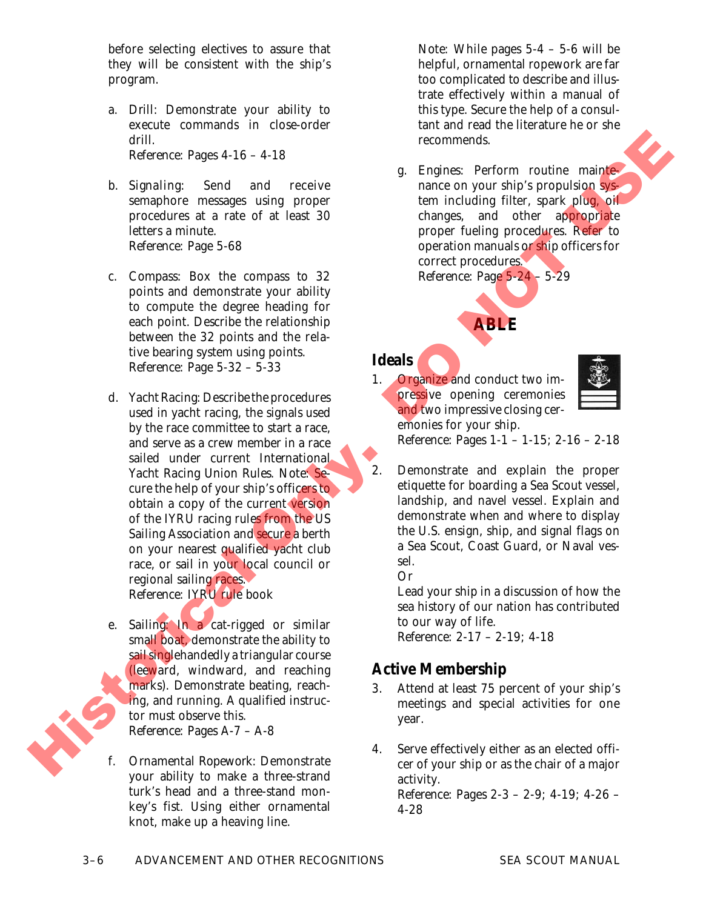before selecting electives to assure that they will be consistent with the ship's program.

- a. *Drill:* Demonstrate your ability to execute commands in close-order drill. *Reference:* Pages 4-16 – 4-18
- b. *Signaling:* Send and receive semaphore messages using proper procedures at a rate of at least 30 letters a minute. *Reference:* Page 5-68
- c. *Compass:* Box the compass to 32 points and demonstrate your ability to compute the degree heading for each point. Describe the relationship between the 32 points and the relative bearing system using points. *Reference:* Page 5-32 – 5-33
- d. *Yacht Racing: Describe the procedures* used in yacht racing, the signals used by the race committee to start a race, and serve as a crew member in a race sailed under current *International Yacht Racing Union Rules*. *Note:* Secure the help of your ship's officers to obtain a copy of the current version of the IYRU racing rules from the US Sailing Association and secure a berth on your nearest qualified yacht club race, or sail in your local council or regional sailing races. *Reference:* IYRU rule book drift, Separating and the state of the state of the state of the state of the state of the state of the state of the state of the state of the state of the state of the state of the state of the state of the state of the
	- e. *Sailing:* In a cat-rigged or similar small boat, demonstrate the ability to sail singlehandedly a triangular course (leeward, windward, and reaching marks). Demonstrate beating, reaching, and running. A qualified instructor must observe this. *Reference:* Pages A-7 – A-8
	- f. *Ornamental Ropework:* Demonstrate your ability to make a three-strand turk's head and a three-stand monkey's fist. Using either ornamental knot, make up a heaving line.

*Note:* While pages 5-4 – 5-6 will be helpful, ornamental ropework are far too complicated to describe and illustrate effectively within a manual of this type. Secure the help of a consultant and read the literature he or she recommends.

g. *Engines:* Perform routine maintenance on your ship's propulsion system including filter, spark plug, oil changes, and other appropriate proper fueling procedures. Refer to operation manuals or ship officers for correct procedures. *Reference:* Page 5-24 – 5-29

# **ABLE**

### **Ideals**

1. Organize and conduct two impressive opening ceremonies and two impressive closing ceremonies for your ship.



*Reference:* Pages 1-1 – 1-15; 2-16 – 2-18

2. Demonstrate and explain the proper etiquette for boarding a Sea Scout vessel, landship, and navel vessel. Explain and demonstrate when and where to display the U.S. ensign, ship, and signal flags on a Sea Scout, Coast Guard, or Naval vessel.

*Or*

Lead your ship in a discussion of how the sea history of our nation has contributed to our way of life. *Reference:* 2-17 – 2-19; 4-18

## **Active Membership**

- 3. Attend at least 75 percent of your ship's meetings and special activities for one year.
- 4. Serve effectively either as an elected officer of your ship or as the chair of a major activity. *Reference:* Pages 2-3 – 2-9; 4-19; 4-26 – 4-28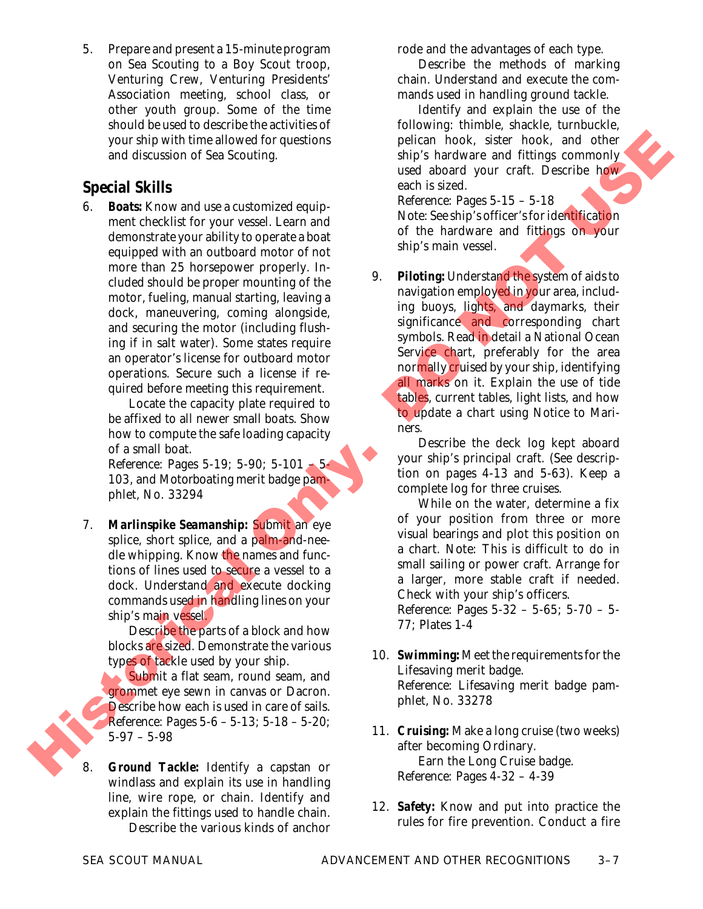5. Prepare and present a 15-minute program on Sea Scouting to a Boy Scout troop, Venturing Crew, Venturing Presidents' Association meeting, school class, or other youth group. Some of the time should be used to describe the activities of your ship with time allowed for questions and discussion of Sea Scouting.

## **Special Skills**

**Boats:** Know and use a customized equipment checklist for your vessel. Learn and demonstrate your ability to operate a boat equipped with an outboard motor of not more than 25 horsepower properly. Included should be proper mounting of the motor, fueling, manual starting, leaving a dock, maneuvering, coming alongside, and securing the motor (including flushing if in salt water). Some states require an operator's license for outboard motor operations. Secure such a license if required before meeting this requirement. your ships which inities allows the pelace of the continue the shape in the state of the continue of the continue of the continue of the continue of the continue of the continue of the continue of the continue of the cont

Locate the capacity plate required to be affixed to all newer small boats. Show how to compute the safe loading capacity of a small boat.

*Reference:* Pages 5-19; 5-90; 5-101 – 5- 103, and *Motorboating* merit badge pamphlet, No. 33294

7. *Marlinspike Seamanship:* Submit an eye splice, short splice, and a palm-and-needle whipping. Know the names and functions of lines used to secure a vessel to a dock. Understand and execute docking commands used in handling lines on your ship's main vessel.

> Describe the parts of a block and how blocks are sized. Demonstrate the various types of tackle used by your ship.

> Submit a flat seam, round seam, and grommet eye sewn in canvas or Dacron. Describe how each is used in care of sails. *Reference:* Pages 5-6 – 5-13; 5-18 – 5-20; 5-97 – 5-98

8. *Ground Tackle:* Identify a capstan or windlass and explain its use in handling line, wire rope, or chain. Identify and explain the fittings used to handle chain.

Describe the various kinds of anchor

rode and the advantages of each type.

Describe the methods of marking chain. Understand and execute the commands used in handling ground tackle.

Identify and explain the use of the following: thimble, shackle, turnbuckle, pelican hook, sister hook, and other ship's hardware and fittings commonly used aboard your craft. Describe how each is sized. *Reference:* Pages 5-15 – 5-18 *Note:* See ship's officer's for identification of the hardware and fittings on your ship's main vessel.

9. **Piloting:** Understand the system of aids to navigation employed in your area, including buoys, lights, and daymarks, their significance and corresponding chart symbols. Read in detail a National Ocean Service chart, preferably for the area normally cruised by your ship, identifying all marks on it. Explain the use of tide tables, current tables, light lists, and how to update a chart using *Notice to Mariners*.

Describe the deck log kept aboard your ship's principal craft. (See description on pages 4-13 and 5-63). Keep a complete log for three cruises.

While on the water, determine a fix of your position from three or more visual bearings and plot this position on a chart. *Note:* This is difficult to do in small sailing or power craft. Arrange for a larger, more stable craft if needed. Check with your ship's officers.

*Reference:* Pages 5-32 – 5-65; 5-70 – 5- 77; Plates 1-4

- 10. **Swimming:** Meet the requirements for the Lifesaving merit badge. *Reference: Lifesaving* merit badge pamphlet, No. 33278
- 11. *Cruising:* Make a long cruise (two weeks) after becoming Ordinary. Earn the Long Cruise badge. *Reference:* Pages 4-32 – 4-39
- 12. *Safety:* Know and put into practice the rules for fire prevention. Conduct a fire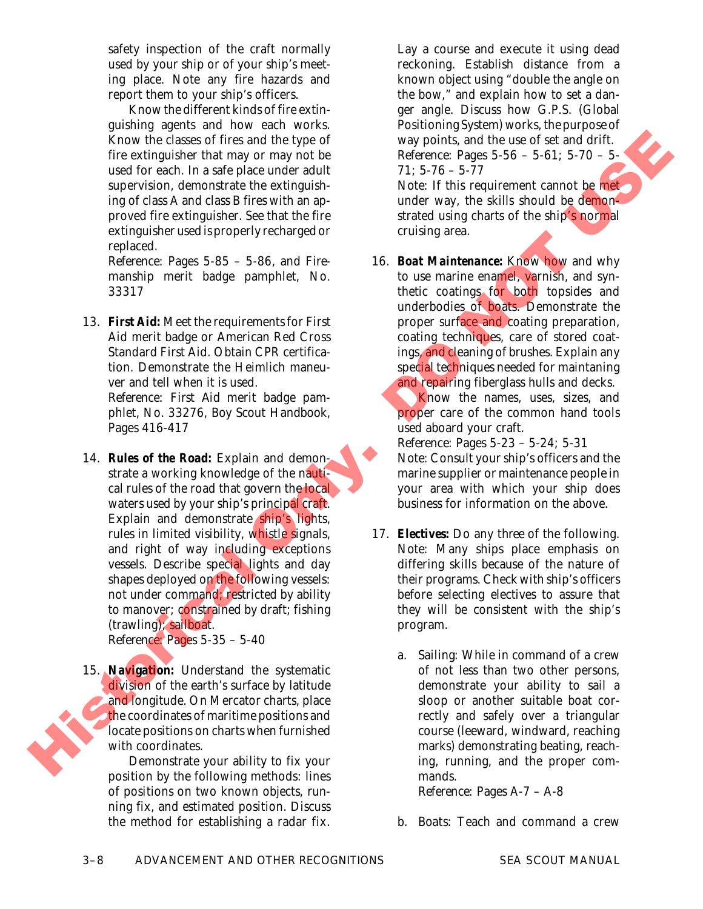safety inspection of the craft normally used by your ship or of your ship's meeting place. Note any fire hazards and report them to your ship's officers.

Know the different kinds of fire extinguishing agents and how each works. Know the classes of fires and the type of fire extinguisher that may or may not be used for each. In a safe place under adult supervision, demonstrate the extinguishing of class A and class B fires with an approved fire extinguisher. See that the fire extinguisher used is properly recharged or replaced.

*Reference:* Pages 5-85 – 5-86, and *Firemanship* merit badge pamphlet, No. 33317

13. *First Aid:* Meet the requirements for First Aid merit badge or American Red Cross Standard First Aid. Obtain CPR certification. Demonstrate the Heimlich maneuver and tell when it is used.

*Reference: First Aid* merit badge pamphlet, No. 33276, *Boy Scout Handbook*, Pages 416-417

- 14. *Rules of the Road:* Explain and demonstrate a working knowledge of the nautical rules of the road that govern the local waters used by your ship's principal craft. Explain and demonstrate ship's lights, rules in limited visibility, whistle signals, and right of way including exceptions vessels. Describe special lights and day shapes deployed on the following vessels: not under command; restricted by ability to manover; constrained by draft; fishing (trawling); sailboat. *Reference:* Pages 5-35 – 5-40 From the class of fires and the type of the set of the set of the set of the set of the set of the set of the set of the set of the set of the set of the set of the set of the set of the set of the set of the set of the s
	- 15. *Navigation:* Understand the systematic division of the earth's surface by latitude and longitude. On Mercator charts, place the coordinates of maritime positions and locate positions on charts when furnished with coordinates.

Demonstrate your ability to fix your position by the following methods: lines of positions on two known objects, running fix, and estimated position. Discuss the method for establishing a radar fix.

Lay a course and execute it using dead reckoning. Establish distance from a known object using "double the angle on the bow," and explain how to set a danger angle. Discuss how G.P.S. (Global Positioning System) works, the purpose of way points, and the use of set and drift. *Reference:* Pages 5-56 – 5-61; 5-70 – 5- 71; 5-76 – 5-77 *Note:* If this requirement cannot be met

under way, the skills should be demonstrated using charts of the ship's normal cruising area.

16. *Boat Maintenance:* Know how and why to use marine enamel, varnish, and synthetic coatings for both topsides and underbodies of boats. Demonstrate the proper surface and coating preparation, coating techniques, care of stored coatings, and cleaning of brushes. Explain any special techniques needed for maintaning and repairing fiberglass hulls and decks.

Know the names, uses, sizes, and proper care of the common hand tools used aboard your craft.

*Reference:* Pages 5-23 – 5-24; 5-31 *Note:* Consult your ship's officers and the marine supplier or maintenance people in your area with which your ship does business for information on the above.

- 17. *Electives:* Do any *three* of the following. *Note:* Many ships place emphasis on differing skills because of the nature of their programs. Check with ship's officers before selecting electives to assure that they will be consistent with the ship's program.
	- a. *Sailing:* While in command of a crew of not less than two other persons, demonstrate your ability to sail a sloop or another suitable boat correctly and safely over a triangular course (leeward, windward, reaching marks) demonstrating beating, reaching, running, and the proper commands.

*Reference:* Pages A-7 – A-8

b. *Boats:* Teach and command a crew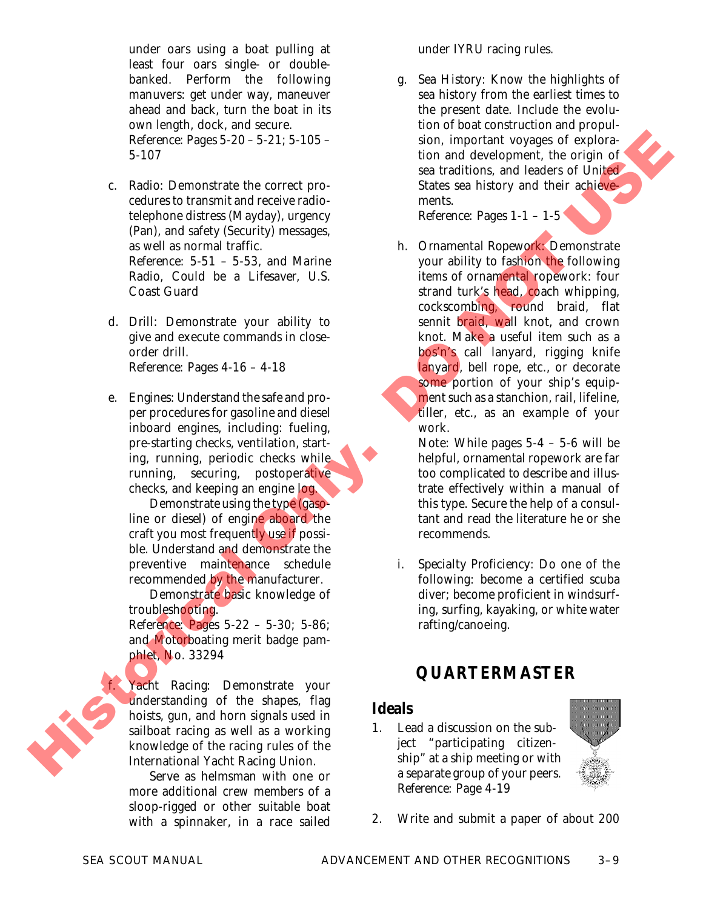under oars using a boat pulling at least four oars single- or doublebanked. Perform the following manuvers: get under way, maneuver ahead and back, turn the boat in its own length, dock, and secure. *Reference:* Pages 5-20 – 5-21; 5-105 –

5-107

- c. *Radio:* Demonstrate the correct procedures to transmit and receive radiotelephone distress (Mayday), urgency (Pan), and safety (Security) messages, as well as normal traffic. *Reference:* 5-51 – 5-53, and *Marine Radio, Could be a Lifesaver*, U.S. Coast Guard
- d. *Drill:* Demonstrate your ability to give and execute commands in closeorder drill. *Reference:* Pages 4-16 – 4-18
- e. *Engines:* Understand the safe and proper procedures for gasoline and diesel inboard engines, including: fueling, pre-starting checks, ventilation, starting, running, periodic checks while running, securing, postoperative checks, and keeping an engine log.

Demonstrate using the type (gasoline or diesel) of engine aboard the craft you most frequently use if possible. Understand and demonstrate the preventive maintenance schedule recommended by the manufacturer.

Demonstrate basic knowledge of troubleshooting.

*Reference:* Pages 5-22 – 5-30; 5-86; and *Motorboating* merit badge pamphlet, No. 33294

f. *Yacht Racing:* Demonstrate your understanding of the shapes, flag hoists, gun, and horn signals used in sailboat racing as well as a working knowledge of the racing rules of the International Yacht Racing Union.

Serve as helmsman with one or more additional crew members of a sloop-rigged or other suitable boat with a spinnaker, in a race sailed

under IYRU racing rules.

g. *Sea History:* Know the highlights of sea history from the earliest times to the present date. Include the evolution of boat construction and propulsion, important voyages of exploration and development, the origin of sea traditions, and leaders of United States sea history and their achievements.

*Reference:* Pages 1-1 – 1-5

h. *Ornamental Ropework:* Demonstrate your ability to fashion the following items of ornamental ropework: four strand turk's head, coach whipping, cockscombing, round braid, flat sennit <mark>braid, wa</mark>ll knot, and crown knot. Make a useful item such as a bos'n's call lanyard, rigging knife lanyard, bell rope, etc., or decorate some portion of your ship's equipment such as a stanchion, rail, lifeline, tiller, etc., as an example of your work. Reference on the control of the control of the control of the control only and the control on the control on the control of the control of the control only and the control of the control of the control of the control on t

*Note:* While pages 5-4 – 5-6 will be helpful, ornamental ropework are far too complicated to describe and illustrate effectively within a manual of this type. Secure the help of a consultant and read the literature he or she recommends.

i. *Specialty Proficiency:* Do one of the following: become a certified scuba diver; become proficient in windsurfing, surfing, kayaking, or white water rafting/canoeing.

# **QUARTERMASTER**

## **Ideals**

1. Lead a discussion on the subject "participating citizenship" at a ship meeting or with a separate group of your peers. *Reference:* Page 4-19



2. Write and submit a paper of about 200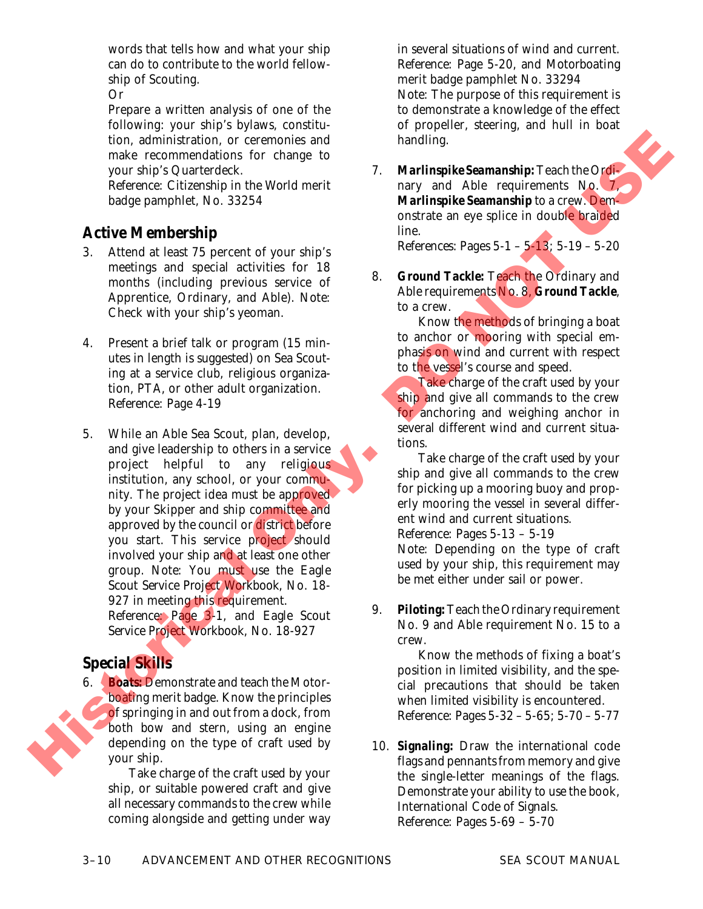words that tells how and what your ship can do to contribute to the world fellowship of Scouting.

*Or*

Prepare a written analysis of one of the following: your ship's bylaws, constitution, administration, or ceremonies and make recommendations for change to your ship's Quarterdeck.

*Reference: Citizenship in the World* merit badge pamphlet, No. 33254

## **Active Membership**

- 3. Attend at least 75 percent of your ship's meetings and special activities for 18 months (including previous service of Apprentice, Ordinary, and Able). *Note:* Check with your ship's yeoman.
- 4. Present a brief talk or program (15 minutes in length is suggested) on Sea Scouting at a service club, religious organization, PTA, or other adult organization. *Reference:* Page 4-19
- 5. While an Able Sea Scout, plan, develop, and give leadership to others in a service project helpful to any religious institution, any school, or your community. The project idea must be approved by your Skipper and ship committee and approved by the council or district before you start. This service project should involved your ship and at least one other group. *Note:* You must use the *Eagle Scout Service Project Workbook*, No. 18- 927 in meeting this requirement. *Reference:* Page 3-1, and *Eagle Scout Service Project Workbook*, No. 18-927 tion, and the interpret of the properties and the properties and the properties of the properties of the properties of the properties of the properties of the properties of the properties of the properties of the properti

## **Special Skills**

6. *Boats:* Demonstrate and teach the Motorboating merit badge. Know the principles of springing in and out from a dock, from both bow and stern, using an engine depending on the type of craft used by your ship.

> Take charge of the craft used by your ship, or suitable powered craft and give all necessary commands to the crew while coming alongside and getting under way

in several situations of wind and current. *Reference:* Page 5-20, and *Motorboating* merit badge pamphlet No. 33294 *Note:* The purpose of this requirement is to demonstrate a knowledge of the effect of propeller, steering, and hull in boat handling.

7. *Marlinspike Seamanship:*Teach the Ordinary and Able requirements No. 7, *Marlinspike Seamanship* to a crew. Demonstrate an eye splice in double braided line. *References:* Pages 5-1 – 5-13; 5-19 – 5-20

8. *Ground Tackle:* Teach the Ordinary and Able requirements No. 8, *Ground Tackle*,

> to a crew. Know the methods of bringing a boat to anchor or mooring with special emphasis on wind and current with respect to the vessel's course and speed.

> Take charge of the craft used by your ship and give all commands to the crew for anchoring and weighing anchor in several different wind and current situations.

> Take charge of the craft used by your ship and give all commands to the crew for picking up a mooring buoy and properly mooring the vessel in several different wind and current situations. *Reference:* Pages 5-13 – 5-19 *Note:* Depending on the type of craft used by your ship, this requirement may

- be met either under sail or power. 9. *Piloting:*Teach the Ordinary requirement
- No. 9 and Able requirement No. 15 to a crew.

Know the methods of fixing a boat's position in limited visibility, and the special precautions that should be taken when limited visibility is encountered. *Reference:* Pages 5-32 – 5-65; 5-70 – 5-77

10. *Signaling:* Draw the international code flags and pennants from memory and give the single-letter meanings of the flags. Demonstrate your ability to use the book, *International Code of Signals*. *Reference:* Pages 5-69 – 5-70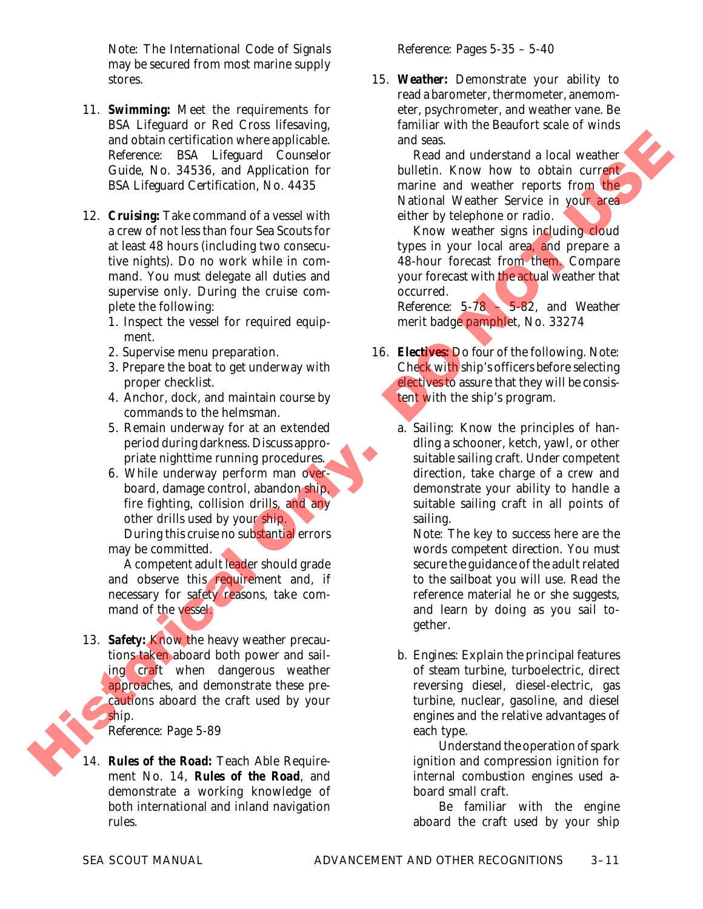*Note:* The *International Code of Signals* may be secured from most marine supply stores.

- 11. *Swimming:* Meet the requirements for BSA Lifeguard or Red Cross lifesaving, and obtain certification where applicable. *Reference: BSA Lifeguard Counselor Guide*, No. 34536, and *Application for BSA Lifeguard Certification*, No. 4435
- 12. *Cruising:* Take command of a vessel with a crew of not less than four Sea Scouts for at least 48 hours (including two consecutive nights). Do no work while in command. You must delegate all duties and supervise only. During the cruise complete the following: and obtained reliefing the main and the season of the season of the season of the season of the season in the season of the season of the season of the season of the season of the season of the season of the season of the
	- 1. Inspect the vessel for required equipment.
	- 2. Supervise menu preparation.
	- 3. Prepare the boat to get underway with proper checklist.
	- 4. Anchor, dock, and maintain course by commands to the helmsman.
	- 5. Remain underway for at an extended period during darkness. Discuss appropriate nighttime running procedures.
	- 6. While underway perform man overboard, damage control, abandon ship, fire fighting, collision drills, and any other drills used by your ship. During this cruise no substantial errors

may be committed.

A competent adult leader should grade and observe this requirement and, if necessary for safety reasons, take command of the vessel.

13. *Safety:* Know the heavy weather precautions taken aboard both power and sailing craft when dangerous weather approaches, and demonstrate these precautions aboard the craft used by your ship.

*Reference:* Page 5-89

14. *Rules of the Road:* Teach Able Requirement No. 14, *Rules of the Road*, and demonstrate a working knowledge of both international and inland navigation rules.

15. *Weather:* Demonstrate your ability to read a barometer, thermometer, anemometer, psychrometer, and weather vane. Be familiar with the Beaufort scale of winds and seas.

Read and understand a local weather bulletin. Know how to obtain current marine and weather reports from the National Weather Service in your area either by telephone or radio.

Know weather signs including cloud types in your local area, and prepare a 48-hour forecast from them. Compare your forecast with the actual weather that occurred.

*Reference:* 5-78 – 5-82, and *Weather* merit badge pamphlet, No. 33274

- 16. *Electives:* Do *four* of the following. *Note:* Check with ship's officers before selecting electives to assure that they will be consistent with the ship's program.
	- a. *Sailing:* Know the principles of handling a schooner, ketch, yawl, or other suitable sailing craft. Under competent direction, take charge of a crew and demonstrate your ability to handle a suitable sailing craft in all points of sailing.

*Note:* The key to success here are the words *competent direction*. You must secure the guidance of the adult related to the sailboat you will use. Read the reference material he or she suggests, and learn by doing as you sail together.

b. *Engines:* Explain the principal features of steam turbine, turboelectric, direct reversing diesel, diesel-electric, gas turbine, nuclear, gasoline, and diesel engines and the relative advantages of each type.

Understand the operation of spark ignition and compression ignition for internal combustion engines used aboard small craft.

Be familiar with the engine aboard the craft used by your ship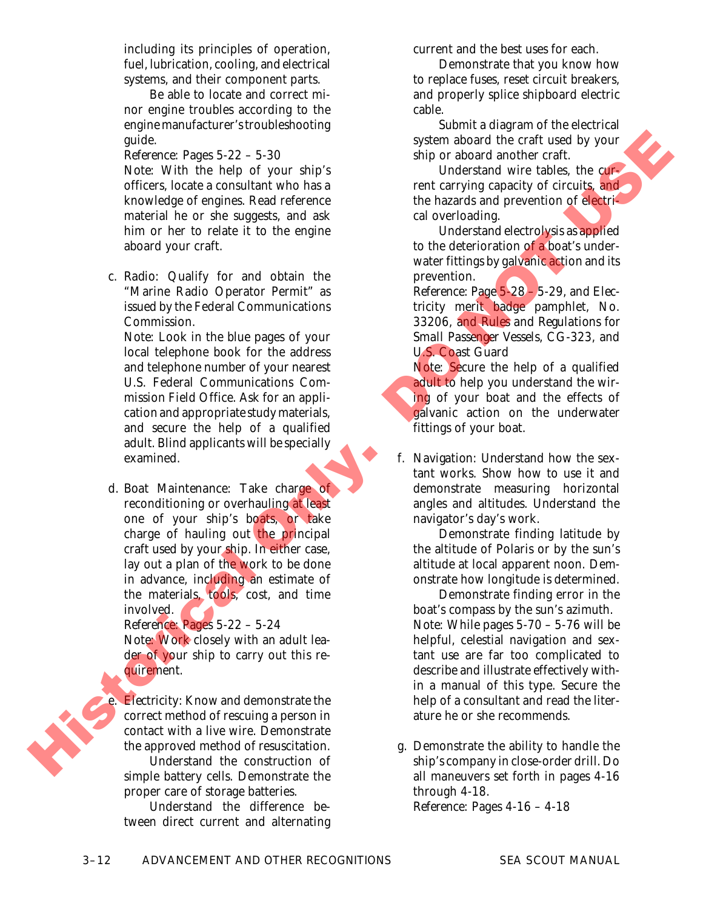including its principles of operation, fuel, lubrication, cooling, and electrical systems, and their component parts.

Be able to locate and correct minor engine troubles according to the engine manufacturer'stroubleshooting guide.

*Reference*: Pages 5-22 – 5-30 *Note:* With the help of your ship's officers, locate a consultant who has a knowledge of engines. Read reference material he or she suggests, and ask him or her to relate it to the engine aboard your craft.

c. *Radio:* Qualify for and obtain the "Marine Radio Operator Permit" as issued by the Federal Communications Commission.

*Note:* Look in the blue pages of your local telephone book for the address and telephone number of your nearest U.S. Federal Communications Commission Field Office. Ask for an application and appropriate study materials, and secure the help of a qualified adult. Blind applicants will be specially examined.

d. *Boat Maintenance:* Take charge of reconditioning or overhauling at least one of your ship's boats, or take charge of hauling out the principal craft used by your ship. In either case, lay out a plan of the work to be done in advance, including an estimate of the materials, tools, cost, and time involved. gadia.<br>
Reference: Pages 3 22 - 5 30<br>
Note: With the help of slower about about about about the bistoric control of the state interesting control of the state of energies. Red reference the above about about about about a

*Reference:* Pages 5-22 – 5-24

*Note:* Work closely with an adult leader of your ship to carry out this requirement.

*Electricity:* Know and demonstrate the correct method of rescuing a person in contact with a live wire. Demonstrate the approved method of resuscitation.

Understand the construction of simple battery cells. Demonstrate the proper care of storage batteries.

Understand the difference between direct current and alternating current and the best uses for each.

Demonstrate that you know how to replace fuses, reset circuit breakers, and properly splice shipboard electric cable.

Submit a diagram of the electrical system aboard the craft used by your ship or aboard another craft.

Understand wire tables, the current carrying capacity of circuits, and the hazards and prevention of electrical overloading.

Understand electrolysis as applied to the deterioration of a boat's underwater fittings by galvanic action and its prevention.

*Reference:* Page 5-28 – 5-29, and *Electricity* merit badge pamphlet, No. 33206, and *Rules and Regulations for Small Passenger Vessels*, CG-323, and U.S. Coast Guard

*Note:* Secure the help of a qualified adult to help you understand the wiring of your boat and the effects of galvanic action on the underwater fittings of your boat.

f. *Navigation:* Understand how the sextant works. Show how to use it and demonstrate measuring horizontal angles and altitudes. Understand the navigator's day's work.

Demonstrate finding latitude by the altitude of Polaris or by the sun's altitude at local apparent noon. Demonstrate how longitude is determined.

Demonstrate finding error in the boat's compass by the sun's azimuth. *Note:* While pages 5-70 – 5-76 will be helpful, celestial navigation and sextant use are far too complicated to describe and illustrate effectively within a manual of this type. Secure the help of a consultant and read the literature he or she recommends.

g. Demonstrate the ability to handle the ship's company in close-order drill. Do all maneuvers set forth in pages 4-16 through 4-18. *Reference:* Pages 4-16 – 4-18